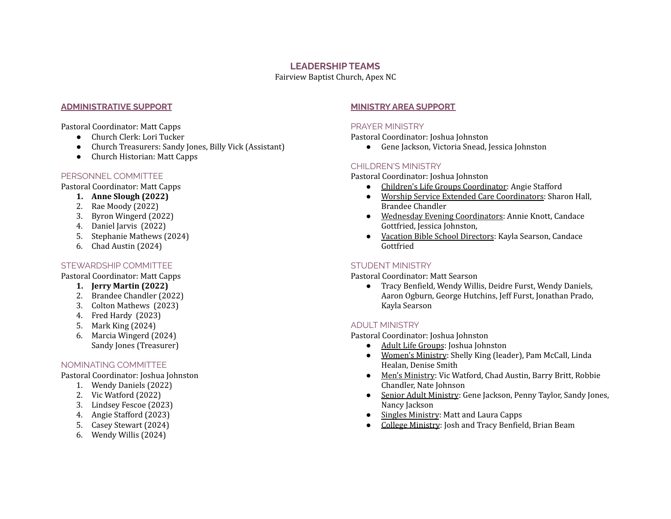### **LEADERSHIP TEAMS**

Fairview Baptist Church, Apex NC

### **ADMINISTRATIVE SUPPORT**

Pastoral Coordinator: Matt Capps

- Church Clerk: Lori Tucker
- Church Treasurers: Sandy Jones, Billy Vick (Assistant)
- Church Historian: Matt Capps

## PERSONNEL COMMITTEE

Pastoral Coordinator: Matt Capps

- **1. Anne Slough (2022)**
- 2. Rae Moody (2022)
- 3. Byron Wingerd (2022)
- 4. Daniel Jarvis (2022)
- 5. Stephanie Mathews (2024)
- 6. Chad Austin (2024)

# STEWARDSHIP COMMITTEE

Pastoral Coordinator: Matt Capps

- **1. Jerry Martin (2022)**
- 2. Brandee Chandler (2022)
- 3. Colton Mathews (2023)
- 4. Fred Hardy (2023)
- 5. Mark King (2024)
- 6. Marcia Wingerd (2024) Sandy Jones (Treasurer)

# NOMINATING COMMITTEE

Pastoral Coordinator: Joshua Johnston

- 1. Wendy Daniels (2022)
- 2. Vic Watford (2022)
- 3. Lindsey Fescoe (2023)
- 4. Angie Stafford (2023)
- 5. Casey Stewart (2024)
- 6. Wendy Willis (2024)

# **MINISTRY AREA SUPPORT**

## PRAYER MINISTRY

Pastoral Coordinator: Joshua Johnston

● Gene Jackson, Victoria Snead, Jessica Johnston

# CHILDREN'S MINISTRY

Pastoral Coordinator: Joshua Johnston

- Children's Life Groups Coordinator: Angie Stafford
- Worship Service Extended Care Coordinators: Sharon Hall, Brandee Chandler
- Wednesday Evening Coordinators: Annie Knott, Candace Gottfried, Jessica Johnston,
- Vacation Bible School Directors: Kayla Searson, Candace Gottfried

# STUDENT MINISTRY

Pastoral Coordinator: Matt Searson

● Tracy Benfield, Wendy Willis, Deidre Furst, Wendy Daniels, Aaron Ogburn, George Hutchins, Jeff Furst, Jonathan Prado, Kayla Searson

# ADULT MINISTRY

Pastoral Coordinator: Joshua Johnston

- Adult Life Groups: Joshua Johnston
- Women's Ministry: Shelly King (leader), Pam McCall, Linda Healan, Denise Smith
- Men's Ministry: Vic Watford, Chad Austin, Barry Britt, Robbie Chandler, Nate Johnson
- Senior Adult Ministry: Gene Jackson, Penny Taylor, Sandy Jones, Nancy Jackson
- Singles Ministry: Matt and Laura Capps
- College Ministry: Josh and Tracy Benfield, Brian Beam